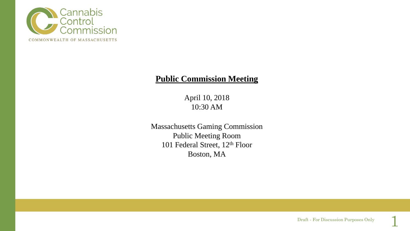

## **Public Commission Meeting**

April 10, 2018 10:30 AM

Massachusetts Gaming Commission Public Meeting Room 101 Federal Street, 12<sup>th</sup> Floor Boston, MA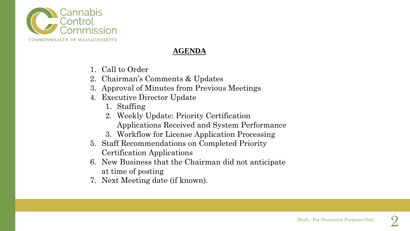

### **AGENDA**

- 1. Call to Order
- 2. Chairman's Comments & Updates
- 3. Approval of Minutes from Previous Meetings
- 4. Executive Director Update
	- 1. Staffing
	- 2. Weekly Update: Priority Certification Applications Received and System Performance
	- 3. Workflow for License Application Processing
- 5. Staff Recommendations on Completed Priority Certification Applications
- 6. New Business that the Chairman did not anticipate at time of posting
- 7. Next Meeting date (if known).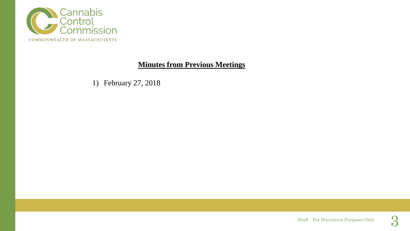

## **Minutes from Previous Meetings**

1) February 27, 2018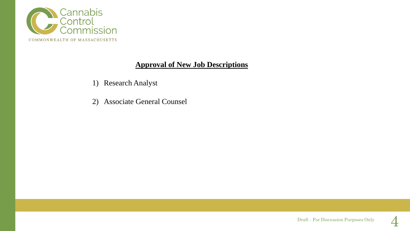

### **Approval of New Job Descriptions**

- 1) Research Analyst
- 2) Associate General Counsel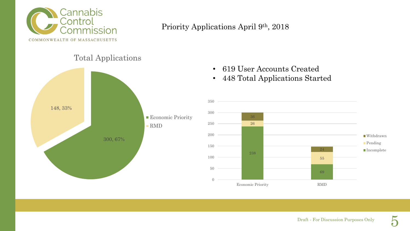

## Priority Applications April 9th, 2018

## Total Applications



- 619 User Accounts Created
- 448 Total Applications Started

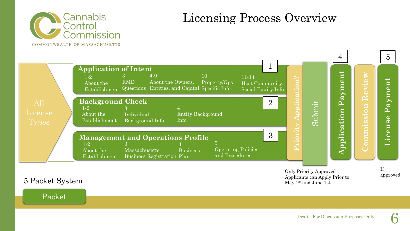

# Licensing Process Overview



# 5 Packet System

Packet

Draft - For Discussion Purposes Only 6